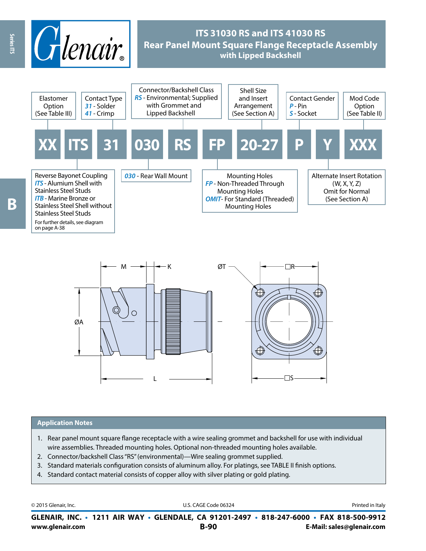



### **Application Notes**

- 1. Rear panel mount square flange receptacle with a wire sealing grommet and backshell for use with individual wire assemblies. Threaded mounting holes. Optional non-threaded mounting holes available.
- 2. Connector/backshell Class "RS" (environmental)—Wire sealing grommet supplied.
- 3. Standard materials configuration consists of aluminum alloy. For platings, see TABLE II finish options.
- 4. Standard contact material consists of copper alloy with silver plating or gold plating.

© 2015 Glenair, Inc. **Discription Construction Construction Construction Construction Construction Construction Construction Construction Construction Construction Construction Construction Construction Construction Constr** 

**www.glenair.com B-90 E-Mail: sales@glenair.com GLENAIR, INC. • 1211 AIR WAY • GLENDALE, CA 91201-2497 • 818-247-6000 • FAX 818-500-9912**